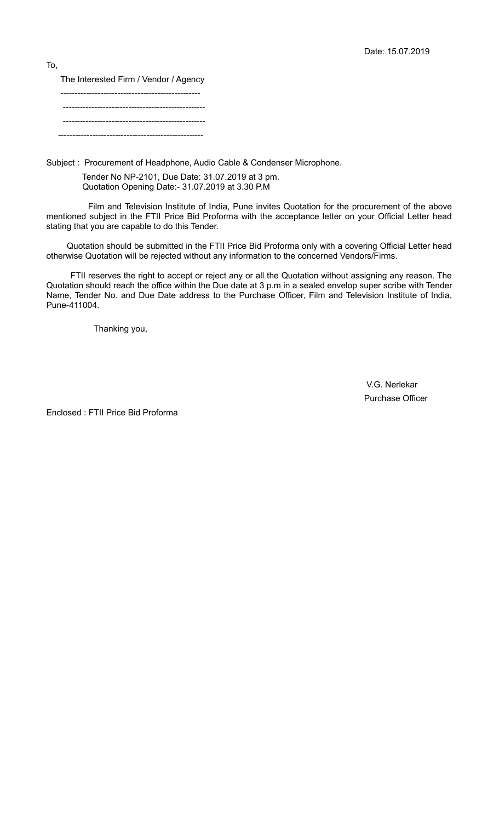The Interested Firm / Vendor / Agency ------------------------------------------------- -------------------------------------------------- --------------------------------------------------

---------------------------------------------------

Subject : Procurement of Headphone, Audio Cable & Condenser Microphone.

 Tender No NP-2101, Due Date: 31.07.2019 at 3 pm. Quotation Opening Date:- 31.07.2019 at 3.30 P.M

 Film and Television Institute of India, Pune invites Quotation for the procurement of the above mentioned subject in the FTII Price Bid Proforma with the acceptance letter on your Official Letter head stating that you are capable to do this Tender.

 Quotation should be submitted in the FTII Price Bid Proforma only with a covering Official Letter head otherwise Quotation will be rejected without any information to the concerned Vendors/Firms.

 FTII reserves the right to accept or reject any or all the Quotation without assigning any reason. The Quotation should reach the office within the Due date at 3 p.m in a sealed envelop super scribe with Tender Name, Tender No. and Due Date address to the Purchase Officer, Film and Television Institute of India, Pune-411004.

Thanking you,

 V.G. Nerlekar Purchase Officer

Enclosed : FTII Price Bid Proforma

To,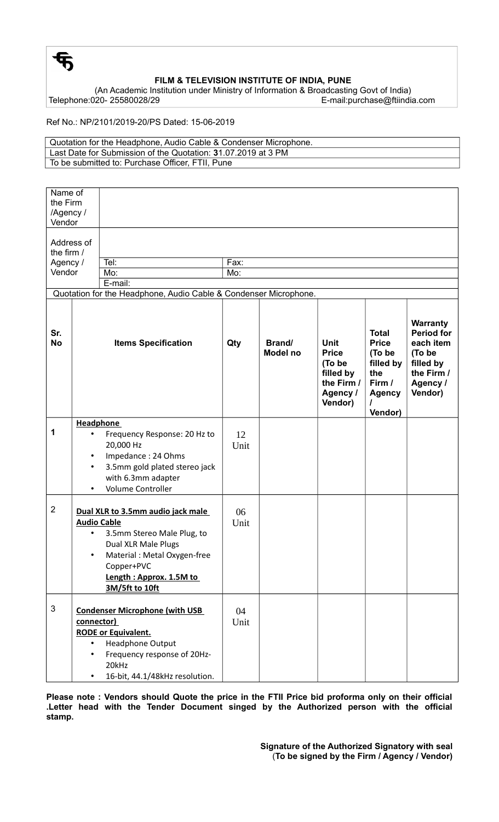

## **FILM & TELEVISION INSTITUTE OF INDIA, PUNE**

(An Academic Institution under Ministry of Information & Broadcasting Govt of India) E-mail:purchase@ftiindia.com

Ref No.: NP/2101/2019-20/PS Dated: 15-06-2019

| Quotation for the Headphone, Audio Cable & Condenser Microphone. |
|------------------------------------------------------------------|
| Last Date for Submission of the Quotation: 31.07.2019 at 3 PM    |
| To be submitted to: Purchase Officer, FTII, Pune                 |

| Name of<br>the Firm<br>/Agency /<br>Vendor                       |                                                                                                                                                                                                                      |             |                           |                                                                                         |                                                                                                  |                                                                                                               |  |
|------------------------------------------------------------------|----------------------------------------------------------------------------------------------------------------------------------------------------------------------------------------------------------------------|-------------|---------------------------|-----------------------------------------------------------------------------------------|--------------------------------------------------------------------------------------------------|---------------------------------------------------------------------------------------------------------------|--|
| the firm /<br>Agency /<br>Vendor                                 | Address of<br>Tel:<br>Mo:<br>E-mail:                                                                                                                                                                                 | Fax:<br>Mo: |                           |                                                                                         |                                                                                                  |                                                                                                               |  |
| Quotation for the Headphone, Audio Cable & Condenser Microphone. |                                                                                                                                                                                                                      |             |                           |                                                                                         |                                                                                                  |                                                                                                               |  |
| Sr.<br><b>No</b>                                                 | <b>Items Specification</b>                                                                                                                                                                                           | Qty         | Brand/<br><b>Model no</b> | <b>Unit</b><br><b>Price</b><br>(To be<br>filled by<br>the Firm /<br>Agency /<br>Vendor) | <b>Total</b><br><b>Price</b><br>(To be<br>filled by<br>the<br>Firm /<br><b>Agency</b><br>Vendor) | <b>Warranty</b><br><b>Period for</b><br>each item<br>(To be<br>filled by<br>the Firm /<br>Agency /<br>Vendor) |  |
| 1                                                                | <b>Headphone</b><br>Frequency Response: 20 Hz to<br>20,000 Hz<br>Impedance: 24 Ohms<br>3.5mm gold plated stereo jack<br>with 6.3mm adapter<br><b>Volume Controller</b>                                               | 12<br>Unit  |                           |                                                                                         |                                                                                                  |                                                                                                               |  |
| $\overline{2}$                                                   | Dual XLR to 3.5mm audio jack male<br><b>Audio Cable</b><br>3.5mm Stereo Male Plug, to<br>Dual XLR Male Plugs<br>Material : Metal Oxygen-free<br>$\bullet$<br>Copper+PVC<br>Length: Approx. 1.5M to<br>3M/5ft to 10ft | 06<br>Unit  |                           |                                                                                         |                                                                                                  |                                                                                                               |  |
| 3                                                                | <b>Condenser Microphone (with USB</b><br>connector)<br><b>RODE or Equivalent.</b><br><b>Headphone Output</b><br>$\bullet$<br>Frequency response of 20Hz-<br>20kHz<br>16-bit, 44.1/48kHz resolution.<br>$\bullet$     | 04<br>Unit  |                           |                                                                                         |                                                                                                  |                                                                                                               |  |

**Please note : Vendors should Quote the price in the FTII Price bid proforma only on their official .Letter head with the Tender Document singed by the Authorized person with the official stamp.**